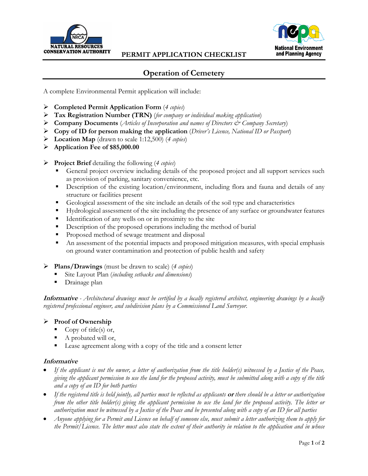



## **Operation of Cemetery**

A complete Environmental Permit application will include:

- **Completed Permit Application Form** (*4 copies*)
- **Tax Registration Number (TRN)** (*for company or individual making application*)
- **Company Documents** (*Articles of Incorporation and names of Directors & Company Secretary*)
- **Copy of ID for person making the application** (*Driver's Licence, National ID or Passport*)
- **Location Map** (drawn to scale 1:12,500) (*4 copies*)
- **Application Fee of \$85,000.00**
- **Project Brief** detailing the following (*4 copies*)
	- General project overview including details of the proposed project and all support services such as provision of parking, sanitary convenience, etc.
	- Description of the existing location/environment, including flora and fauna and details of any structure or facilities present
	- Geological assessment of the site include an details of the soil type and characteristics
	- Hydrological assessment of the site including the presence of any surface or groundwater features
	- Identification of any wells on or in proximity to the site
	- Description of the proposed operations including the method of burial
	- **Proposed method of sewage treatment and disposal**
	- An assessment of the potential impacts and proposed mitigation measures, with special emphasis on ground water contamination and protection of public health and safety
- **Plans/Drawings** (must be drawn to scale) (*4 copies*)
	- Site Layout Plan (*including setbacks and dimensions*)
	- **Drainage plan**

**Informative** *- Architectural drawings must be certified by a locally registered architect, engineering drawings by a locally registered professional engineer, and subdivision plans by a Commissioned Land Surveyor.*

#### **Proof of Ownership**

- Copy of title(s) or,
- A probated will or,
- Lease agreement along with a copy of the title and a consent letter

#### **Informative**

- *If the applicant is not the owner, a letter of authorization from the title holder(s) witnessed by a Justice of the Peace, giving the applicant permission to use the land for the proposed activity, must be submitted along with a copy of the title and a copy of an ID for both parties*
- *If the registered title is held jointly, all parties must be reflected as applicants* **or** *there should be a letter or authorization from the other title holder(s) giving the applicant permission to use the land for the proposed activity. The letter or authorization must be witnessed by a Justice of the Peace and be presented along with a copy of an ID for all parties*
- *Anyone applying for a Permit and Licence on behalf of someone else, must submit a letter authorizing them to apply for the Permit/Licence. The letter must also state the extent of their authority in relation to the application and in whose*